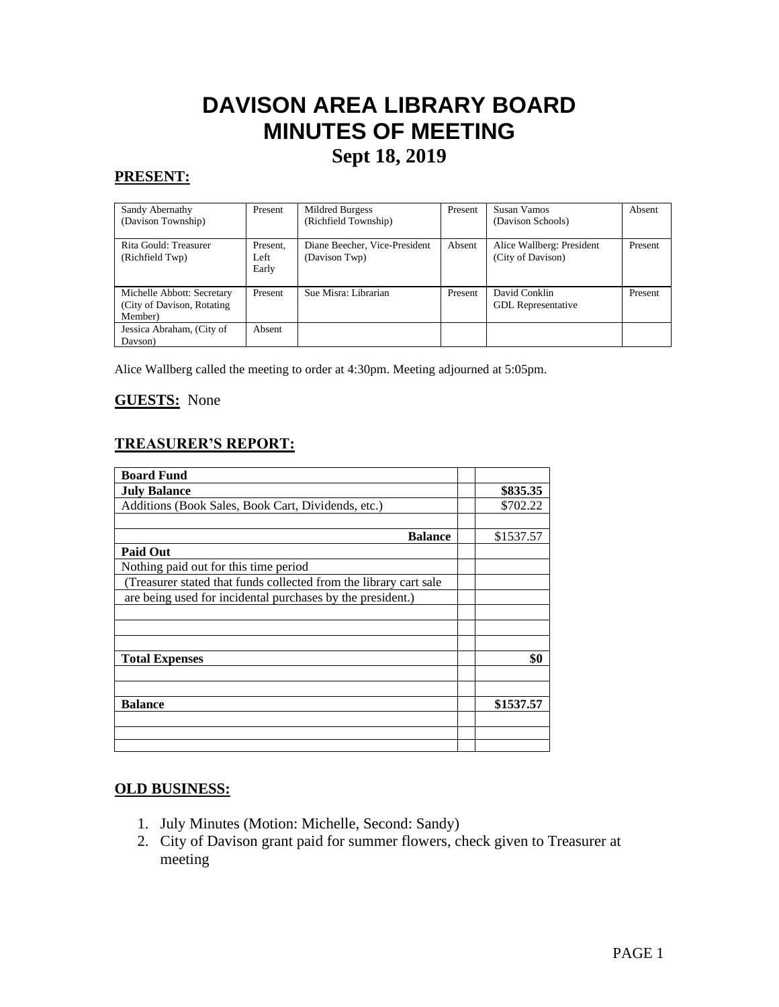# **DAVISON AREA LIBRARY BOARD MINUTES OF MEETING Sept 18, 2019**

## **PRESENT:**

| Sandy Abernathy<br>(Davison Township)                                | Present                   | Mildred Burgess<br>(Richfield Township)        | Present | Susan Vamos<br>(Davison Schools)               | Absent  |
|----------------------------------------------------------------------|---------------------------|------------------------------------------------|---------|------------------------------------------------|---------|
| Rita Gould: Treasurer<br>(Richfield Twp)                             | Present,<br>Left<br>Early | Diane Beecher, Vice-President<br>(Davison Twp) | Absent  | Alice Wallberg: President<br>(City of Davison) | Present |
| Michelle Abbott: Secretary<br>(City of Davison, Rotating)<br>Member) | Present                   | Sue Misra: Librarian                           | Present | David Conklin<br><b>GDL</b> Representative     | Present |
| Jessica Abraham, (City of<br>Davson)                                 | Absent                    |                                                |         |                                                |         |

Alice Wallberg called the meeting to order at 4:30pm. Meeting adjourned at 5:05pm.

#### **GUESTS:** None

## **TREASURER'S REPORT:**

| <b>Board Fund</b>                                                 |           |
|-------------------------------------------------------------------|-----------|
| <b>July Balance</b>                                               | \$835.35  |
| Additions (Book Sales, Book Cart, Dividends, etc.)                | \$702.22  |
|                                                                   |           |
| <b>Balance</b>                                                    | \$1537.57 |
| <b>Paid Out</b>                                                   |           |
| Nothing paid out for this time period                             |           |
| (Treasurer stated that funds collected from the library cart sale |           |
| are being used for incidental purchases by the president.)        |           |
|                                                                   |           |
|                                                                   |           |
|                                                                   |           |
| <b>Total Expenses</b>                                             | \$0       |
|                                                                   |           |
|                                                                   |           |
| <b>Balance</b>                                                    | \$1537.57 |
|                                                                   |           |
|                                                                   |           |
|                                                                   |           |

#### **OLD BUSINESS:**

- 1. July Minutes (Motion: Michelle, Second: Sandy)
- 2. City of Davison grant paid for summer flowers, check given to Treasurer at meeting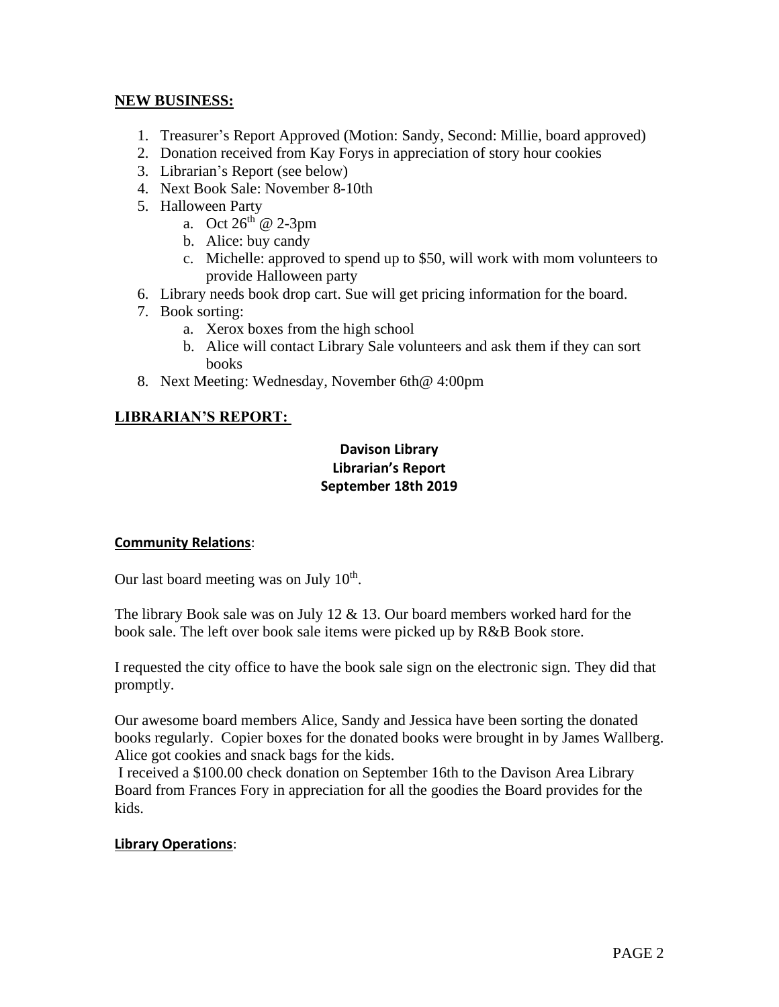### **NEW BUSINESS:**

- 1. Treasurer's Report Approved (Motion: Sandy, Second: Millie, board approved)
- 2. Donation received from Kay Forys in appreciation of story hour cookies
- 3. Librarian's Report (see below)
- 4. Next Book Sale: November 8-10th
- 5. Halloween Party
	- a. Oct  $26^{th}$  @ 2-3pm
	- b. Alice: buy candy
	- c. Michelle: approved to spend up to \$50, will work with mom volunteers to provide Halloween party
- 6. Library needs book drop cart. Sue will get pricing information for the board.
- 7. Book sorting:
	- a. Xerox boxes from the high school
	- b. Alice will contact Library Sale volunteers and ask them if they can sort books
- 8. Next Meeting: Wednesday, November 6th@ 4:00pm

## **LIBRARIAN'S REPORT:**

## **Davison Library Librarian's Report September 18th 2019**

## **Community Relations**:

Our last board meeting was on July  $10<sup>th</sup>$ .

The library Book sale was on July 12 & 13. Our board members worked hard for the book sale. The left over book sale items were picked up by R&B Book store.

I requested the city office to have the book sale sign on the electronic sign. They did that promptly.

Our awesome board members Alice, Sandy and Jessica have been sorting the donated books regularly. Copier boxes for the donated books were brought in by James Wallberg. Alice got cookies and snack bags for the kids.

I received a \$100.00 check donation on September 16th to the Davison Area Library Board from Frances Fory in appreciation for all the goodies the Board provides for the kids.

## **Library Operations**: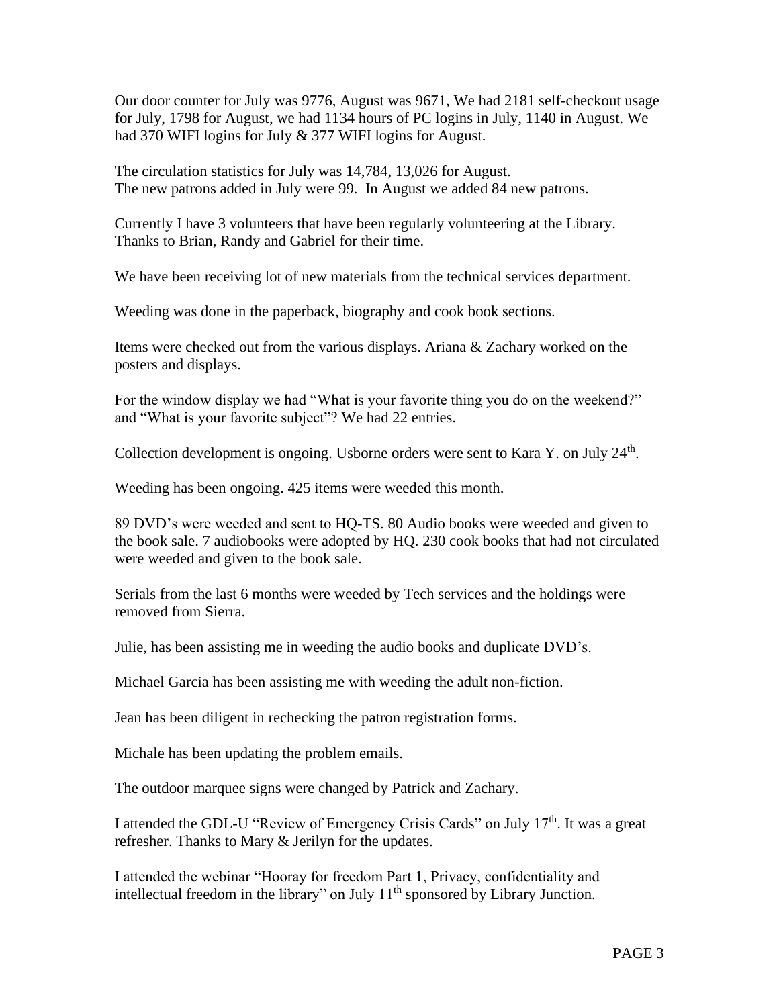Our door counter for July was 9776, August was 9671, We had 2181 self-checkout usage for July, 1798 for August, we had 1134 hours of PC logins in July, 1140 in August. We had 370 WIFI logins for July & 377 WIFI logins for August.

The circulation statistics for July was 14,784, 13,026 for August. The new patrons added in July were 99. In August we added 84 new patrons.

Currently I have 3 volunteers that have been regularly volunteering at the Library. Thanks to Brian, Randy and Gabriel for their time.

We have been receiving lot of new materials from the technical services department.

Weeding was done in the paperback, biography and cook book sections.

Items were checked out from the various displays. Ariana & Zachary worked on the posters and displays.

For the window display we had "What is your favorite thing you do on the weekend?" and "What is your favorite subject"? We had 22 entries.

Collection development is ongoing. Usborne orders were sent to Kara Y. on July 24<sup>th</sup>.

Weeding has been ongoing. 425 items were weeded this month.

89 DVD's were weeded and sent to HQ-TS. 80 Audio books were weeded and given to the book sale. 7 audiobooks were adopted by HQ. 230 cook books that had not circulated were weeded and given to the book sale.

Serials from the last 6 months were weeded by Tech services and the holdings were removed from Sierra.

Julie, has been assisting me in weeding the audio books and duplicate DVD's.

Michael Garcia has been assisting me with weeding the adult non-fiction.

Jean has been diligent in rechecking the patron registration forms.

Michale has been updating the problem emails.

The outdoor marquee signs were changed by Patrick and Zachary.

I attended the GDL-U "Review of Emergency Crisis Cards" on July  $17<sup>th</sup>$ . It was a great refresher. Thanks to Mary & Jerilyn for the updates.

I attended the webinar "Hooray for freedom Part 1, Privacy, confidentiality and intellectual freedom in the library" on July  $11<sup>th</sup>$  sponsored by Library Junction.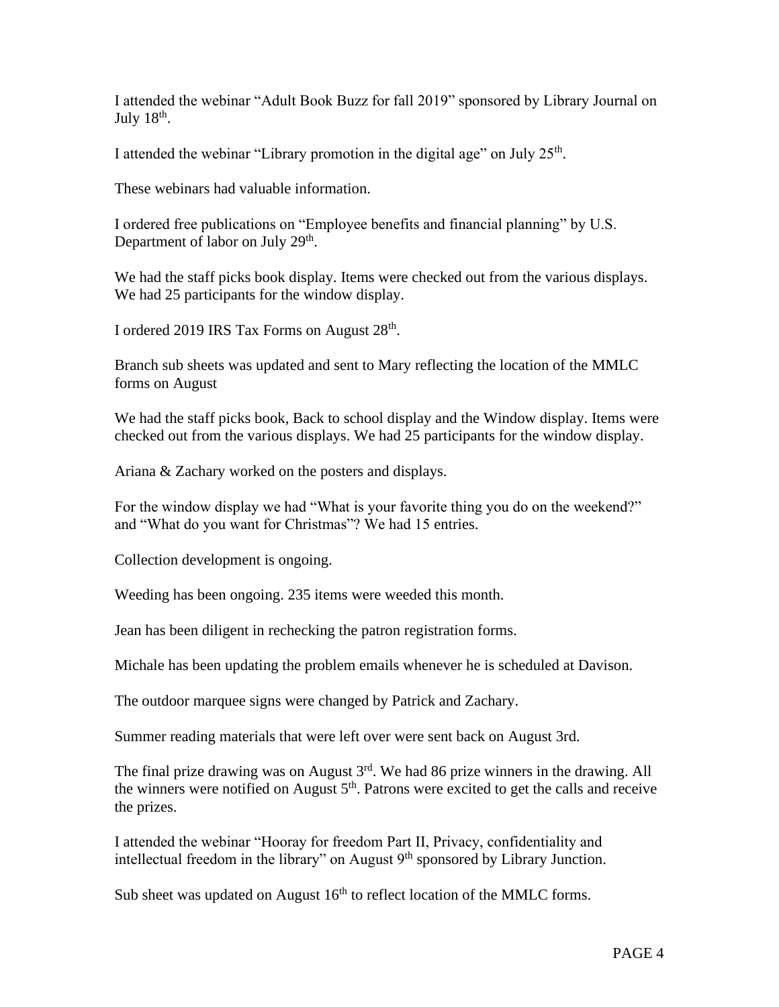I attended the webinar "Adult Book Buzz for fall 2019" sponsored by Library Journal on July  $18^{\text{th}}$ .

I attended the webinar "Library promotion in the digital age" on July  $25<sup>th</sup>$ .

These webinars had valuable information.

I ordered free publications on "Employee benefits and financial planning" by U.S. Department of labor on July 29<sup>th</sup>.

We had the staff picks book display. Items were checked out from the various displays. We had 25 participants for the window display.

I ordered 2019 IRS Tax Forms on August 28<sup>th</sup>.

Branch sub sheets was updated and sent to Mary reflecting the location of the MMLC forms on August

We had the staff picks book, Back to school display and the Window display. Items were checked out from the various displays. We had 25 participants for the window display.

Ariana & Zachary worked on the posters and displays.

For the window display we had "What is your favorite thing you do on the weekend?" and "What do you want for Christmas"? We had 15 entries.

Collection development is ongoing.

Weeding has been ongoing. 235 items were weeded this month.

Jean has been diligent in rechecking the patron registration forms.

Michale has been updating the problem emails whenever he is scheduled at Davison.

The outdoor marquee signs were changed by Patrick and Zachary.

Summer reading materials that were left over were sent back on August 3rd.

The final prize drawing was on August  $3<sup>rd</sup>$ . We had 86 prize winners in the drawing. All the winners were notified on August  $5<sup>th</sup>$ . Patrons were excited to get the calls and receive the prizes.

I attended the webinar "Hooray for freedom Part II, Privacy, confidentiality and intellectual freedom in the library" on August 9<sup>th</sup> sponsored by Library Junction.

Sub sheet was updated on August  $16<sup>th</sup>$  to reflect location of the MMLC forms.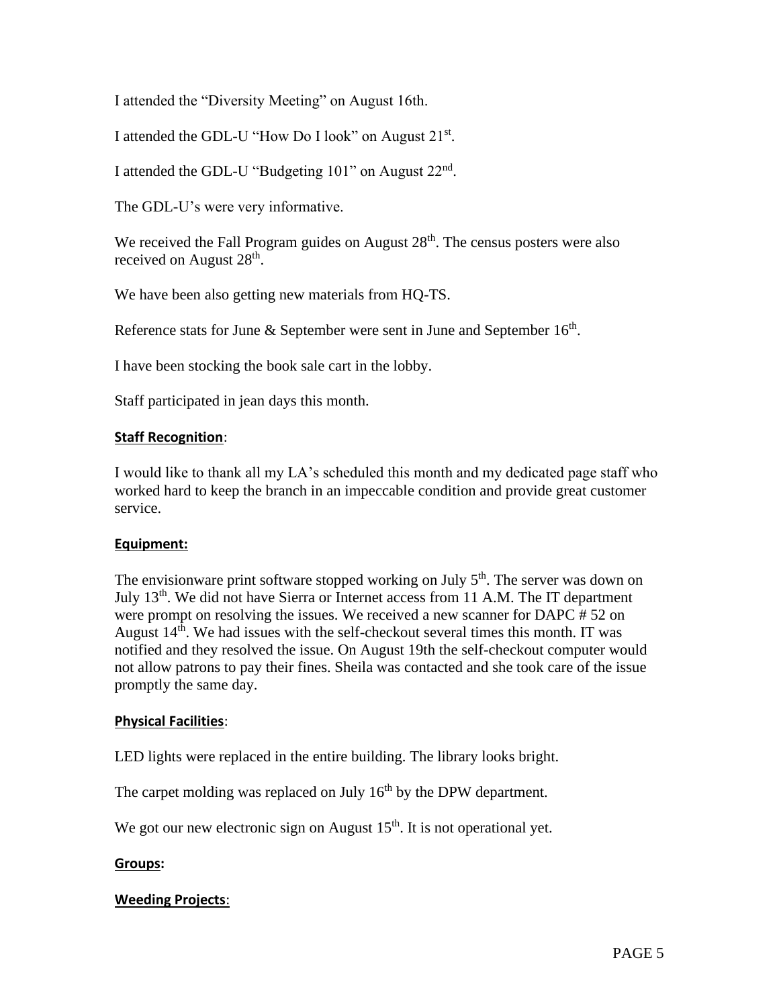I attended the "Diversity Meeting" on August 16th.

I attended the GDL-U "How Do I look" on August 21<sup>st</sup>.

I attended the GDL-U "Budgeting 101" on August 22<sup>nd</sup>.

The GDL-U's were very informative.

We received the Fall Program guides on August 28<sup>th</sup>. The census posters were also received on August 28<sup>th</sup>.

We have been also getting new materials from HQ-TS.

Reference stats for June & September were sent in June and September  $16<sup>th</sup>$ .

I have been stocking the book sale cart in the lobby.

Staff participated in jean days this month.

#### **Staff Recognition**:

I would like to thank all my LA's scheduled this month and my dedicated page staff who worked hard to keep the branch in an impeccable condition and provide great customer service.

#### **Equipment:**

The envisionware print software stopped working on July  $5<sup>th</sup>$ . The server was down on July  $13<sup>th</sup>$ . We did not have Sierra or Internet access from 11 A.M. The IT department were prompt on resolving the issues. We received a new scanner for DAPC # 52 on August  $14<sup>th</sup>$ . We had issues with the self-checkout several times this month. IT was notified and they resolved the issue. On August 19th the self-checkout computer would not allow patrons to pay their fines. Sheila was contacted and she took care of the issue promptly the same day.

#### **Physical Facilities**:

LED lights were replaced in the entire building. The library looks bright.

The carpet molding was replaced on July  $16<sup>th</sup>$  by the DPW department.

We got our new electronic sign on August  $15<sup>th</sup>$ . It is not operational yet.

#### **Groups:**

#### **Weeding Projects**: